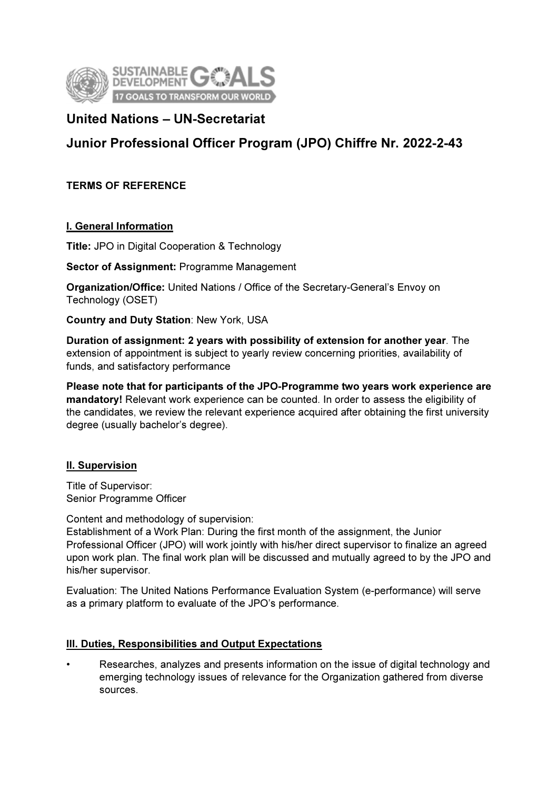

# United Nations – UN-Secretariat

# Junior Professional Officer Program (JPO) Chiffre Nr. 2022-2-43

TERMS OF REFERENCE

# I. General Information

Title: JPO in Digital Cooperation & Technology

Sector of Assignment: Programme Management

Organization/Office: United Nations / Office of the Secretary-General's Envoy on Technology (OSET)

Country and Duty Station: New York, USA

Duration of assignment: 2 years with possibility of extension for another year. The extension of appointment is subject to yearly review concerning priorities, availability of funds, and satisfactory performance

Please note that for participants of the JPO-Programme two years work experience are mandatory! Relevant work experience can be counted. In order to assess the eligibility of the candidates, we review the relevant experience acquired after obtaining the first university degree (usually bachelor's degree).

# **II. Supervision**

Title of Supervisor: Senior Programme Officer

Content and methodology of supervision:

Establishment of a Work Plan: During the first month of the assignment, the Junior Professional Officer (JPO) will work jointly with his/her direct supervisor to finalize an agreed upon work plan. The final work plan will be discussed and mutually agreed to by the JPO and his/her supervisor.

Evaluation: The United Nations Performance Evaluation System (e-performance) will serve as a primary platform to evaluate of the JPO's performance.

# III. Duties, Responsibilities and Output Expectations

• Researches, analyzes and presents information on the issue of digital technology and emerging technology issues of relevance for the Organization gathered from diverse sources.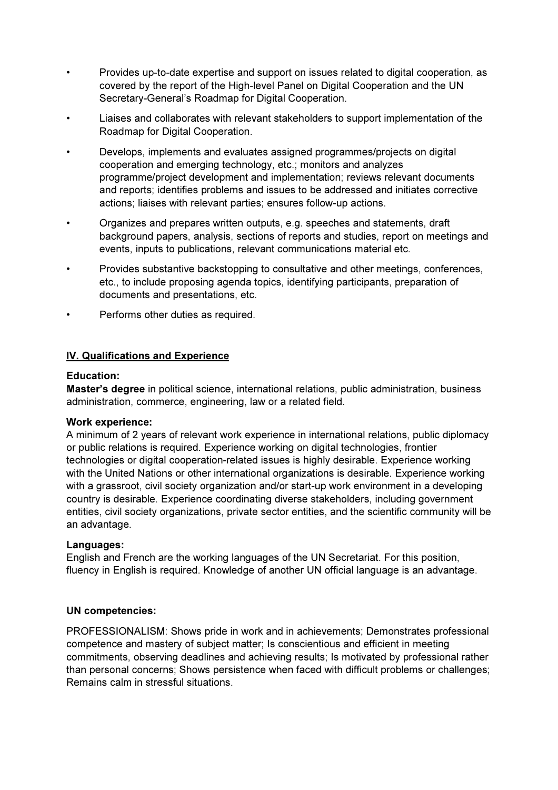- Provides up-to-date expertise and support on issues related to digital cooperation, as covered by the report of the High-level Panel on Digital Cooperation and the UN Secretary-General's Roadmap for Digital Cooperation.
- Liaises and collaborates with relevant stakeholders to support implementation of the Roadmap for Digital Cooperation.
- Develops, implements and evaluates assigned programmes/projects on digital cooperation and emerging technology, etc.; monitors and analyzes programme/project development and implementation; reviews relevant documents and reports; identifies problems and issues to be addressed and initiates corrective actions; liaises with relevant parties; ensures follow-up actions.
- Organizes and prepares written outputs, e.g. speeches and statements, draft background papers, analysis, sections of reports and studies, report on meetings and events, inputs to publications, relevant communications material etc.
- Provides substantive backstopping to consultative and other meetings, conferences, etc., to include proposing agenda topics, identifying participants, preparation of documents and presentations, etc.
- Performs other duties as required.

# IV. Qualifications and Experience

#### Education:

Master's degree in political science, international relations, public administration, business administration, commerce, engineering, law or a related field.

#### Work experience:

A minimum of 2 years of relevant work experience in international relations, public diplomacy or public relations is required. Experience working on digital technologies, frontier technologies or digital cooperation-related issues is highly desirable. Experience working with the United Nations or other international organizations is desirable. Experience working with a grassroot, civil society organization and/or start-up work environment in a developing country is desirable. Experience coordinating diverse stakeholders, including government entities, civil society organizations, private sector entities, and the scientific community will be an advantage.

# Languages:

English and French are the working languages of the UN Secretariat. For this position, fluency in English is required. Knowledge of another UN official language is an advantage.

#### UN competencies:

PROFESSIONALISM: Shows pride in work and in achievements; Demonstrates professional competence and mastery of subject matter; Is conscientious and efficient in meeting commitments, observing deadlines and achieving results; Is motivated by professional rather than personal concerns; Shows persistence when faced with difficult problems or challenges; Remains calm in stressful situations.